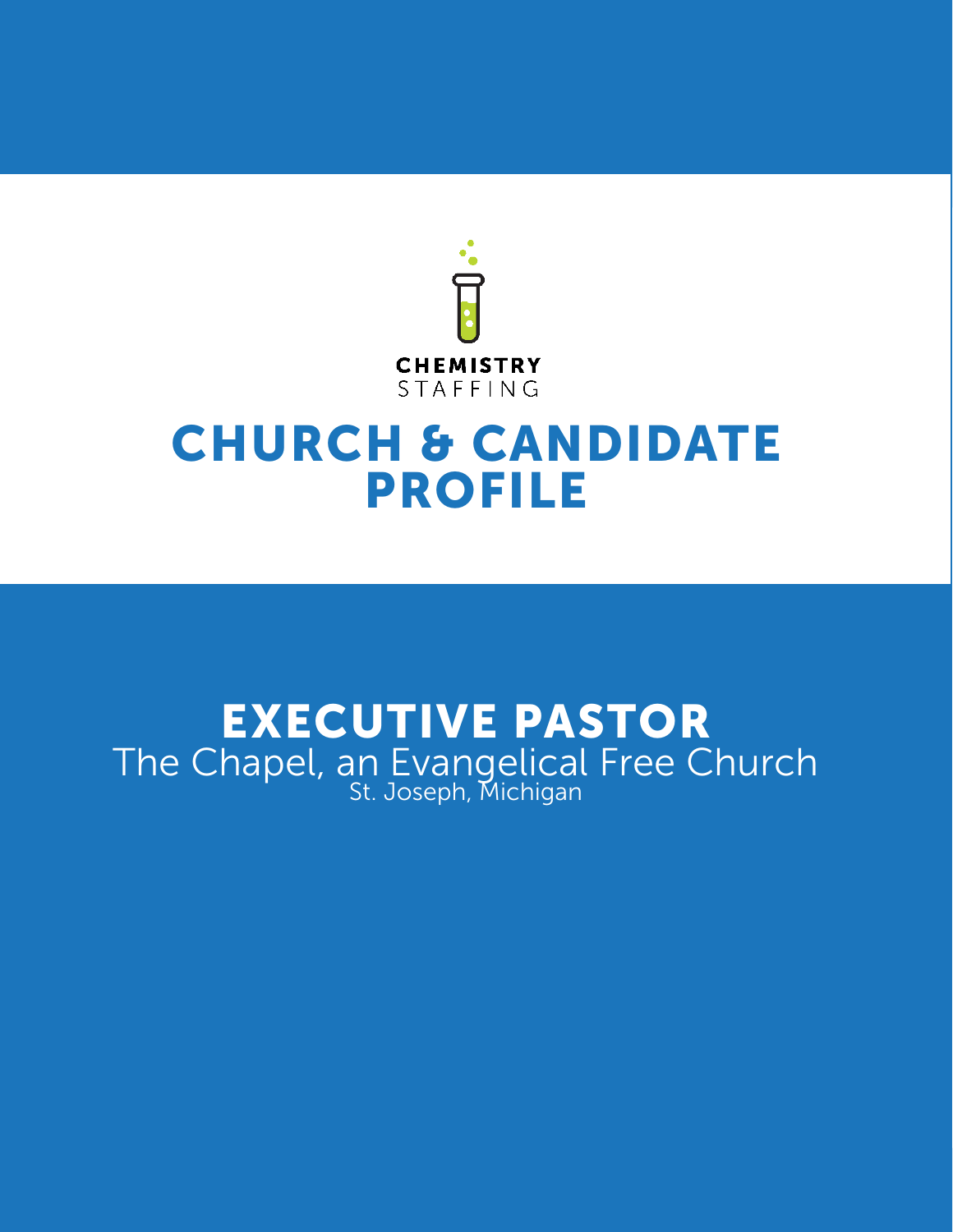

## CHURCH & CANDIDATE PROFILE

# EXECUTIVE PASTOR The Chapel, an Evangelical Free Church<br>St. Joseph, Michigan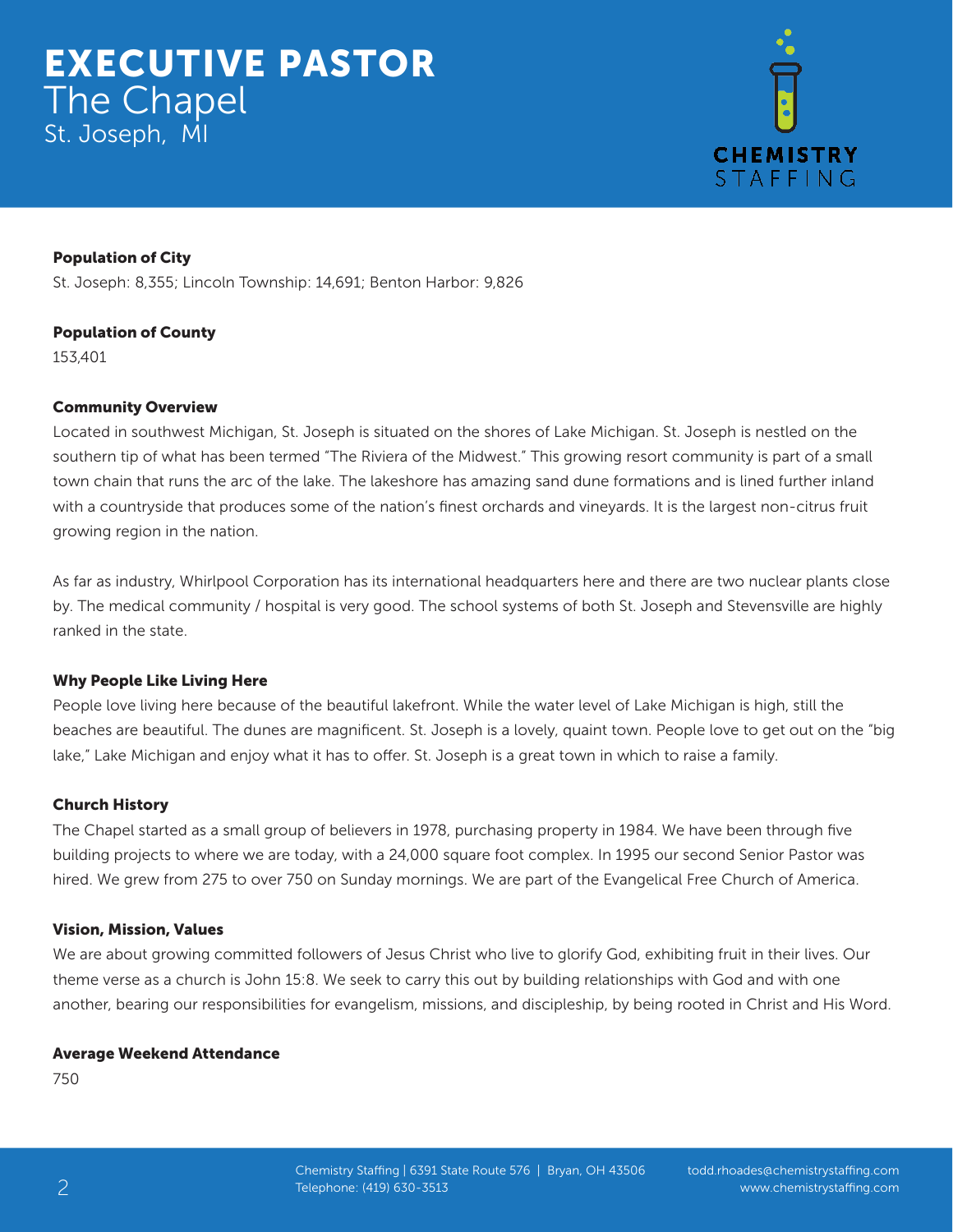

#### Population of City

St. Joseph: 8,355; Lincoln Township: 14,691; Benton Harbor: 9,826

#### Population of County

153,401

#### Community Overview

Located in southwest Michigan, St. Joseph is situated on the shores of Lake Michigan. St. Joseph is nestled on the southern tip of what has been termed "The Riviera of the Midwest." This growing resort community is part of a small town chain that runs the arc of the lake. The lakeshore has amazing sand dune formations and is lined further inland with a countryside that produces some of the nation's finest orchards and vineyards. It is the largest non-citrus fruit growing region in the nation.

As far as industry, Whirlpool Corporation has its international headquarters here and there are two nuclear plants close by. The medical community / hospital is very good. The school systems of both St. Joseph and Stevensville are highly ranked in the state.

#### Why People Like Living Here

People love living here because of the beautiful lakefront. While the water level of Lake Michigan is high, still the beaches are beautiful. The dunes are magnificent. St. Joseph is a lovely, quaint town. People love to get out on the "big lake," Lake Michigan and enjoy what it has to offer. St. Joseph is a great town in which to raise a family.

#### Church History

The Chapel started as a small group of believers in 1978, purchasing property in 1984. We have been through five building projects to where we are today, with a 24,000 square foot complex. In 1995 our second Senior Pastor was hired. We grew from 275 to over 750 on Sunday mornings. We are part of the Evangelical Free Church of America.

#### Vision, Mission, Values

We are about growing committed followers of Jesus Christ who live to glorify God, exhibiting fruit in their lives. Our theme verse as a church is John 15:8. We seek to carry this out by building relationships with God and with one another, bearing our responsibilities for evangelism, missions, and discipleship, by being rooted in Christ and His Word.

#### Average Weekend Attendance

750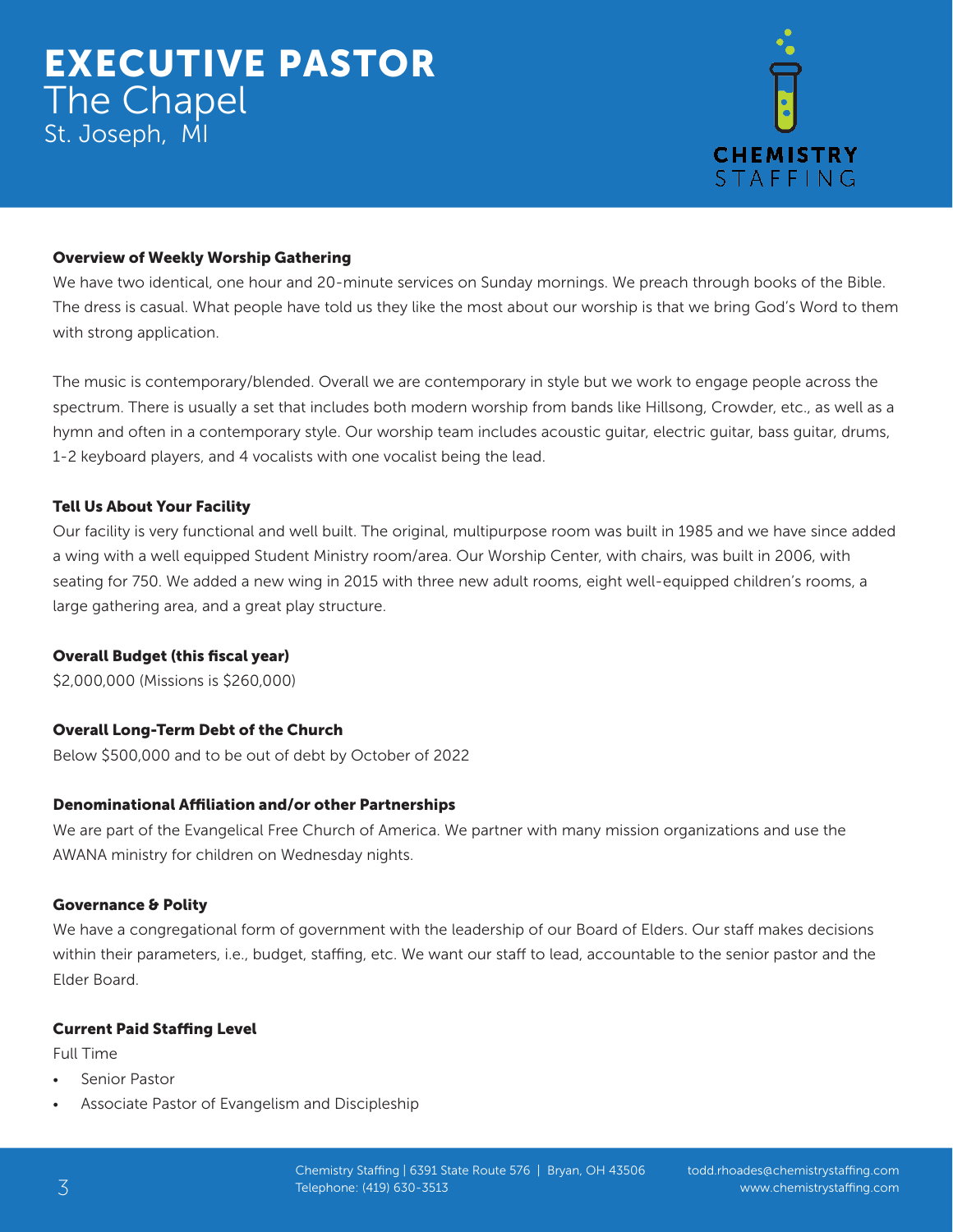

#### Overview of Weekly Worship Gathering

We have two identical, one hour and 20-minute services on Sunday mornings. We preach through books of the Bible. The dress is casual. What people have told us they like the most about our worship is that we bring God's Word to them with strong application.

The music is contemporary/blended. Overall we are contemporary in style but we work to engage people across the spectrum. There is usually a set that includes both modern worship from bands like Hillsong, Crowder, etc., as well as a hymn and often in a contemporary style. Our worship team includes acoustic guitar, electric guitar, bass guitar, drums, 1-2 keyboard players, and 4 vocalists with one vocalist being the lead.

#### Tell Us About Your Facility

Our facility is very functional and well built. The original, multipurpose room was built in 1985 and we have since added a wing with a well equipped Student Ministry room/area. Our Worship Center, with chairs, was built in 2006, with seating for 750. We added a new wing in 2015 with three new adult rooms, eight well-equipped children's rooms, a large gathering area, and a great play structure.

#### Overall Budget (this fiscal year)

\$2,000,000 (Missions is \$260,000)

#### Overall Long-Term Debt of the Church

Below \$500,000 and to be out of debt by October of 2022

#### Denominational Affiliation and/or other Partnerships

We are part of the Evangelical Free Church of America. We partner with many mission organizations and use the AWANA ministry for children on Wednesday nights.

#### Governance & Polity

We have a congregational form of government with the leadership of our Board of Elders. Our staff makes decisions within their parameters, i.e., budget, staffing, etc. We want our staff to lead, accountable to the senior pastor and the Elder Board.

#### Current Paid Staffing Level

Full Time

- Senior Pastor
- Associate Pastor of Evangelism and Discipleship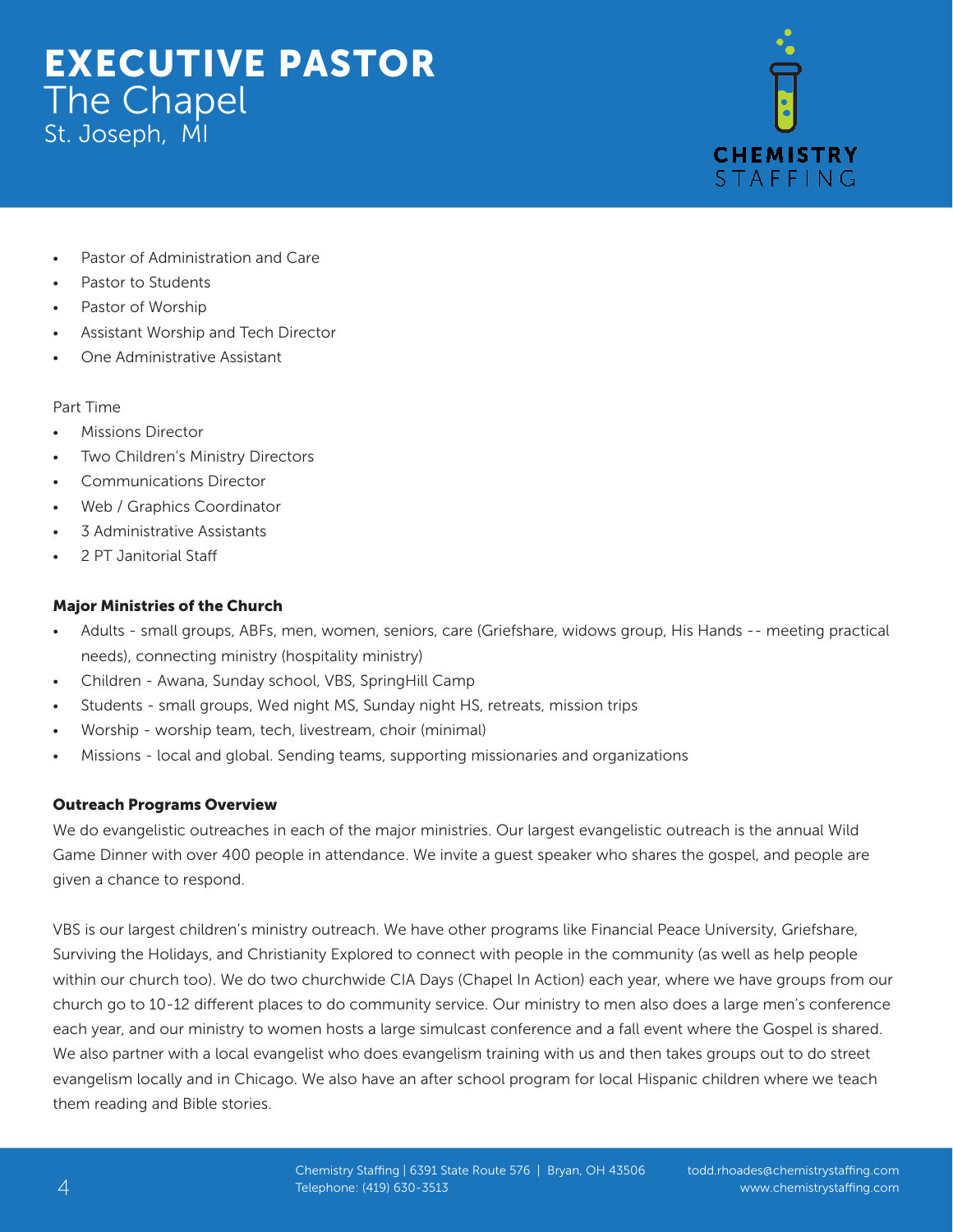

- Pastor of Administration and Care
- Pastor to Students
- Pastor of Worship
- Assistant Worship and Tech Director
- One Administrative Assistant

#### Part Time

- Missions Director
- Two Children's Ministry Directors
- Communications Director
- Web / Graphics Coordinator
- 3 Administrative Assistants
- 2 PT Janitorial Staff

#### Major Ministries of the Church

- Adults small groups, ABFs, men, women, seniors, care (Griefshare, widows group, His Hands -- meeting practical needs), connecting ministry (hospitality ministry)
- Children Awana, Sunday school, VBS, SpringHill Camp
- Students small groups, Wed night MS, Sunday night HS, retreats, mission trips
- Worship worship team, tech, livestream, choir (minimal)
- Missions local and global. Sending teams, supporting missionaries and organizations

#### Outreach Programs Overview

We do evangelistic outreaches in each of the major ministries. Our largest evangelistic outreach is the annual Wild Game Dinner with over 400 people in attendance. We invite a guest speaker who shares the gospel, and people are given a chance to respond.

VBS is our largest children's ministry outreach. We have other programs like Financial Peace University, Griefshare, Surviving the Holidays, and Christianity Explored to connect with people in the community (as well as help people within our church too). We do two churchwide CIA Days (Chapel In Action) each year, where we have groups from our church go to 10-12 different places to do community service. Our ministry to men also does a large men's conference each year, and our ministry to women hosts a large simulcast conference and a fall event where the Gospel is shared. We also partner with a local evangelist who does evangelism training with us and then takes groups out to do street evangelism locally and in Chicago. We also have an after school program for local Hispanic children where we teach them reading and Bible stories.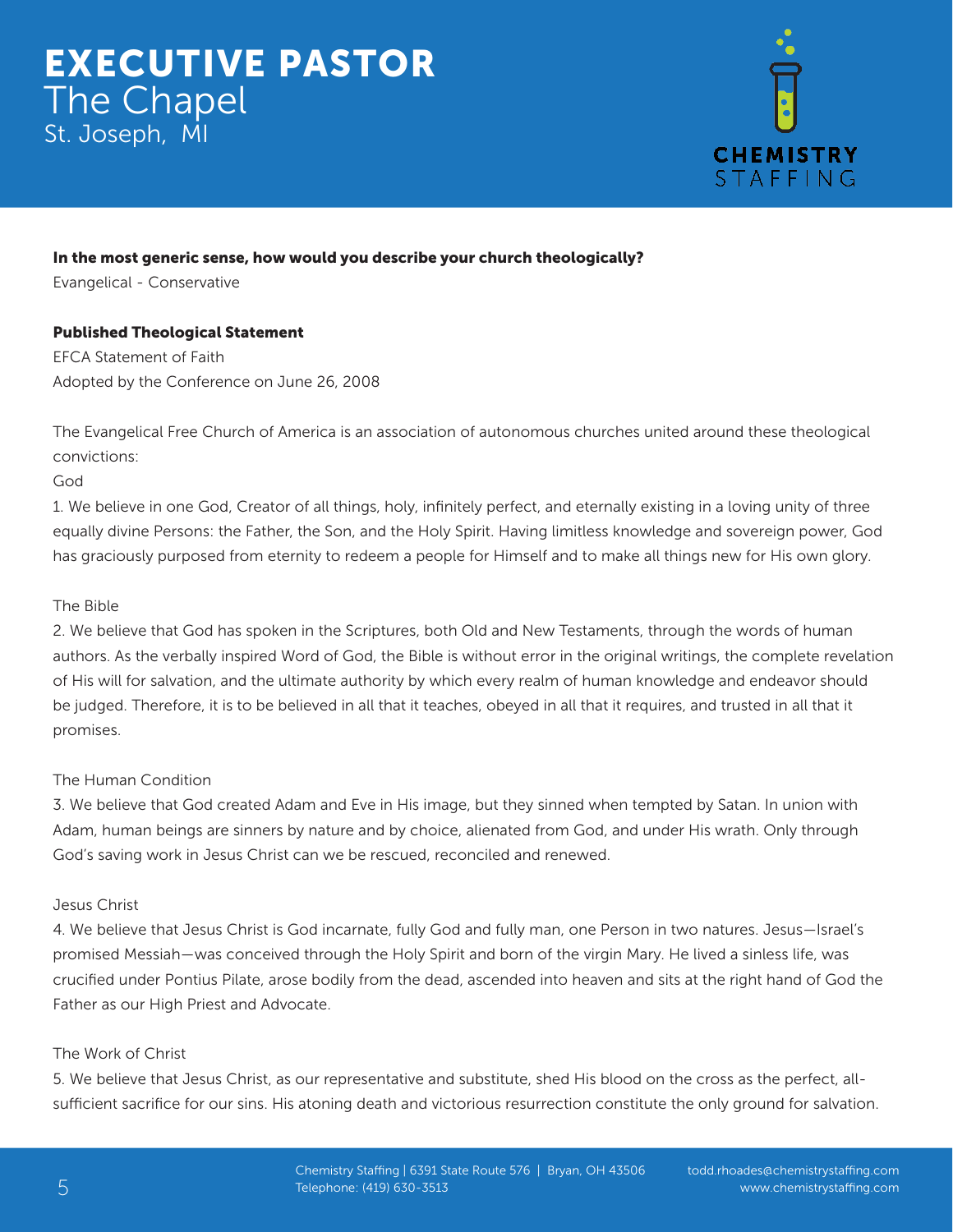

#### In the most generic sense, how would you describe your church theologically?

Evangelical - Conservative

#### Published Theological Statement

EFCA Statement of Faith Adopted by the Conference on June 26, 2008

The Evangelical Free Church of America is an association of autonomous churches united around these theological convictions:

#### God

1. We believe in one God, Creator of all things, holy, infinitely perfect, and eternally existing in a loving unity of three equally divine Persons: the Father, the Son, and the Holy Spirit. Having limitless knowledge and sovereign power, God has graciously purposed from eternity to redeem a people for Himself and to make all things new for His own glory.

#### The Bible

2. We believe that God has spoken in the Scriptures, both Old and New Testaments, through the words of human authors. As the verbally inspired Word of God, the Bible is without error in the original writings, the complete revelation of His will for salvation, and the ultimate authority by which every realm of human knowledge and endeavor should be judged. Therefore, it is to be believed in all that it teaches, obeyed in all that it requires, and trusted in all that it promises.

#### The Human Condition

3. We believe that God created Adam and Eve in His image, but they sinned when tempted by Satan. In union with Adam, human beings are sinners by nature and by choice, alienated from God, and under His wrath. Only through God's saving work in Jesus Christ can we be rescued, reconciled and renewed.

#### Jesus Christ

4. We believe that Jesus Christ is God incarnate, fully God and fully man, one Person in two natures. Jesus—Israel's promised Messiah—was conceived through the Holy Spirit and born of the virgin Mary. He lived a sinless life, was crucified under Pontius Pilate, arose bodily from the dead, ascended into heaven and sits at the right hand of God the Father as our High Priest and Advocate.

#### The Work of Christ

5. We believe that Jesus Christ, as our representative and substitute, shed His blood on the cross as the perfect, allsufficient sacrifice for our sins. His atoning death and victorious resurrection constitute the only ground for salvation.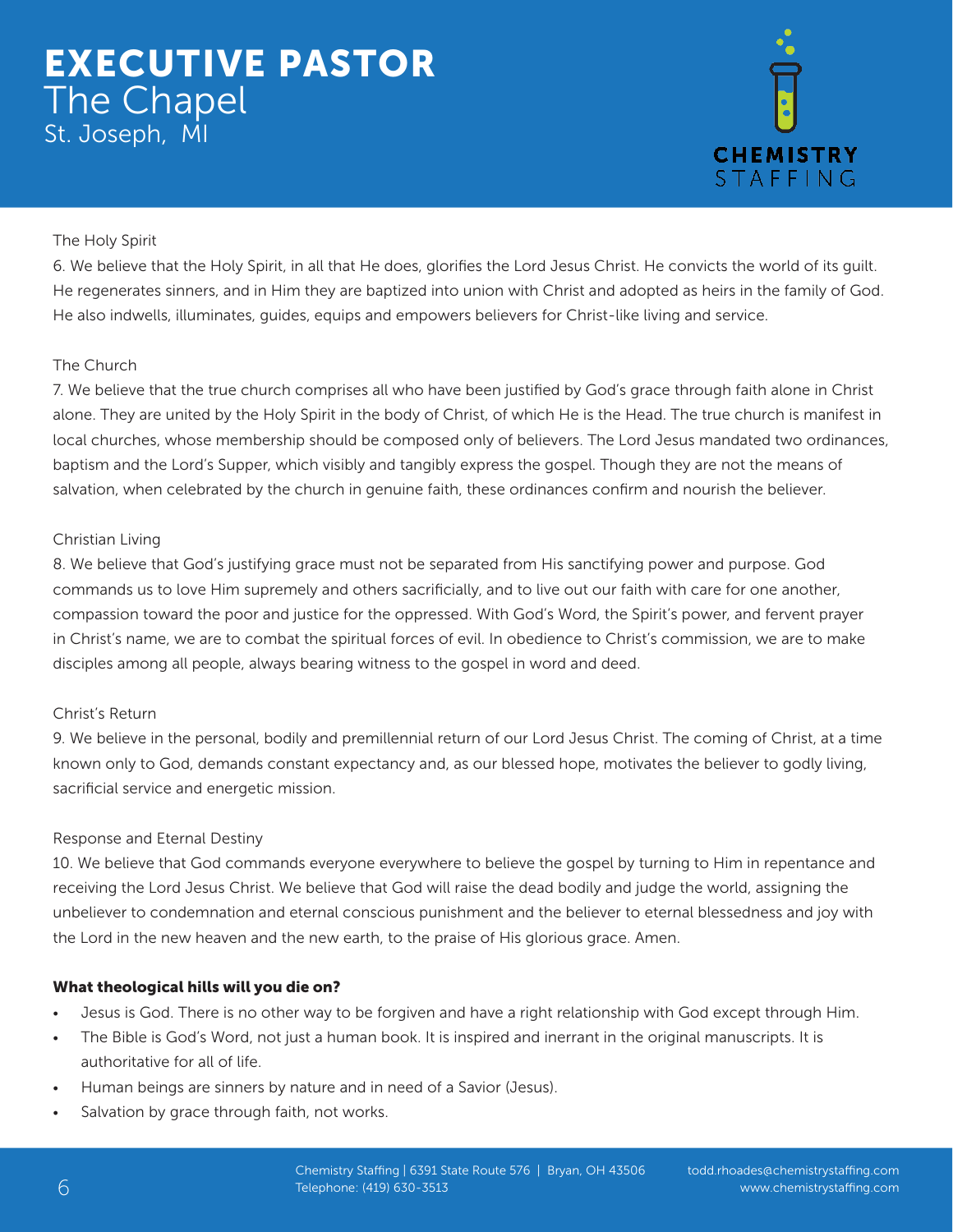

#### The Holy Spirit

6. We believe that the Holy Spirit, in all that He does, glorifies the Lord Jesus Christ. He convicts the world of its guilt. He regenerates sinners, and in Him they are baptized into union with Christ and adopted as heirs in the family of God. He also indwells, illuminates, guides, equips and empowers believers for Christ-like living and service.

#### The Church

7. We believe that the true church comprises all who have been justified by God's grace through faith alone in Christ alone. They are united by the Holy Spirit in the body of Christ, of which He is the Head. The true church is manifest in local churches, whose membership should be composed only of believers. The Lord Jesus mandated two ordinances, baptism and the Lord's Supper, which visibly and tangibly express the gospel. Though they are not the means of salvation, when celebrated by the church in genuine faith, these ordinances confirm and nourish the believer.

#### Christian Living

8. We believe that God's justifying grace must not be separated from His sanctifying power and purpose. God commands us to love Him supremely and others sacrificially, and to live out our faith with care for one another, compassion toward the poor and justice for the oppressed. With God's Word, the Spirit's power, and fervent prayer in Christ's name, we are to combat the spiritual forces of evil. In obedience to Christ's commission, we are to make disciples among all people, always bearing witness to the gospel in word and deed.

#### Christ's Return

9. We believe in the personal, bodily and premillennial return of our Lord Jesus Christ. The coming of Christ, at a time known only to God, demands constant expectancy and, as our blessed hope, motivates the believer to godly living, sacrificial service and energetic mission.

#### Response and Eternal Destiny

10. We believe that God commands everyone everywhere to believe the gospel by turning to Him in repentance and receiving the Lord Jesus Christ. We believe that God will raise the dead bodily and judge the world, assigning the unbeliever to condemnation and eternal conscious punishment and the believer to eternal blessedness and joy with the Lord in the new heaven and the new earth, to the praise of His glorious grace. Amen.

#### What theological hills will you die on?

- Jesus is God. There is no other way to be forgiven and have a right relationship with God except through Him.
- The Bible is God's Word, not just a human book. It is inspired and inerrant in the original manuscripts. It is authoritative for all of life.
- Human beings are sinners by nature and in need of a Savior (Jesus).
- Salvation by grace through faith, not works.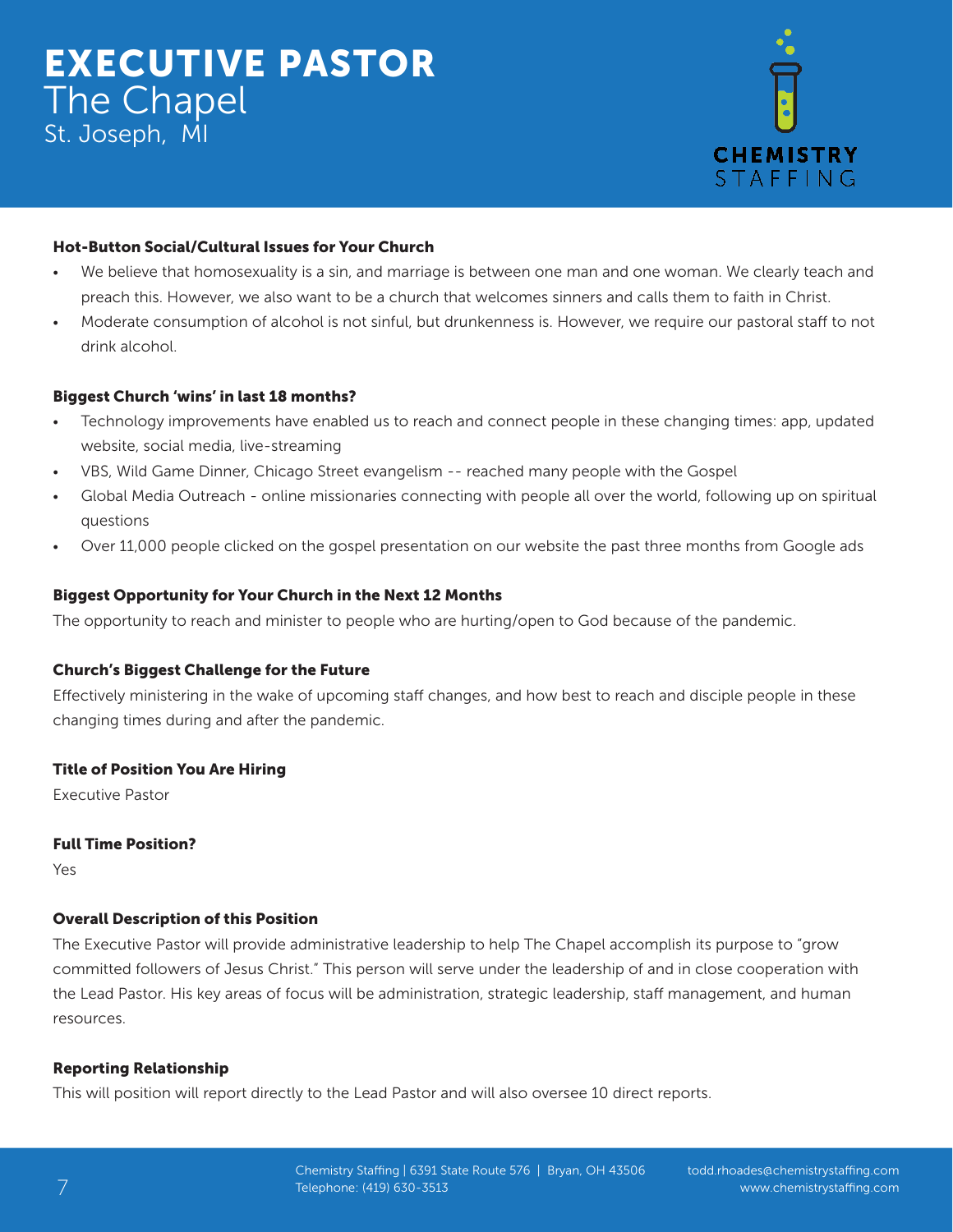

#### Hot-Button Social/Cultural Issues for Your Church

- We believe that homosexuality is a sin, and marriage is between one man and one woman. We clearly teach and preach this. However, we also want to be a church that welcomes sinners and calls them to faith in Christ.
- Moderate consumption of alcohol is not sinful, but drunkenness is. However, we require our pastoral staff to not drink alcohol.

#### Biggest Church 'wins' in last 18 months?

- Technology improvements have enabled us to reach and connect people in these changing times: app, updated website, social media, live-streaming
- VBS, Wild Game Dinner, Chicago Street evangelism -- reached many people with the Gospel
- Global Media Outreach online missionaries connecting with people all over the world, following up on spiritual questions
- Over 11,000 people clicked on the gospel presentation on our website the past three months from Google ads

#### Biggest Opportunity for Your Church in the Next 12 Months

The opportunity to reach and minister to people who are hurting/open to God because of the pandemic.

#### Church's Biggest Challenge for the Future

Effectively ministering in the wake of upcoming staff changes, and how best to reach and disciple people in these changing times during and after the pandemic.

#### Title of Position You Are Hiring

Executive Pastor

#### Full Time Position?

Yes

#### Overall Description of this Position

The Executive Pastor will provide administrative leadership to help The Chapel accomplish its purpose to "grow committed followers of Jesus Christ." This person will serve under the leadership of and in close cooperation with the Lead Pastor. His key areas of focus will be administration, strategic leadership, staff management, and human resources.

#### Reporting Relationship

This will position will report directly to the Lead Pastor and will also oversee 10 direct reports.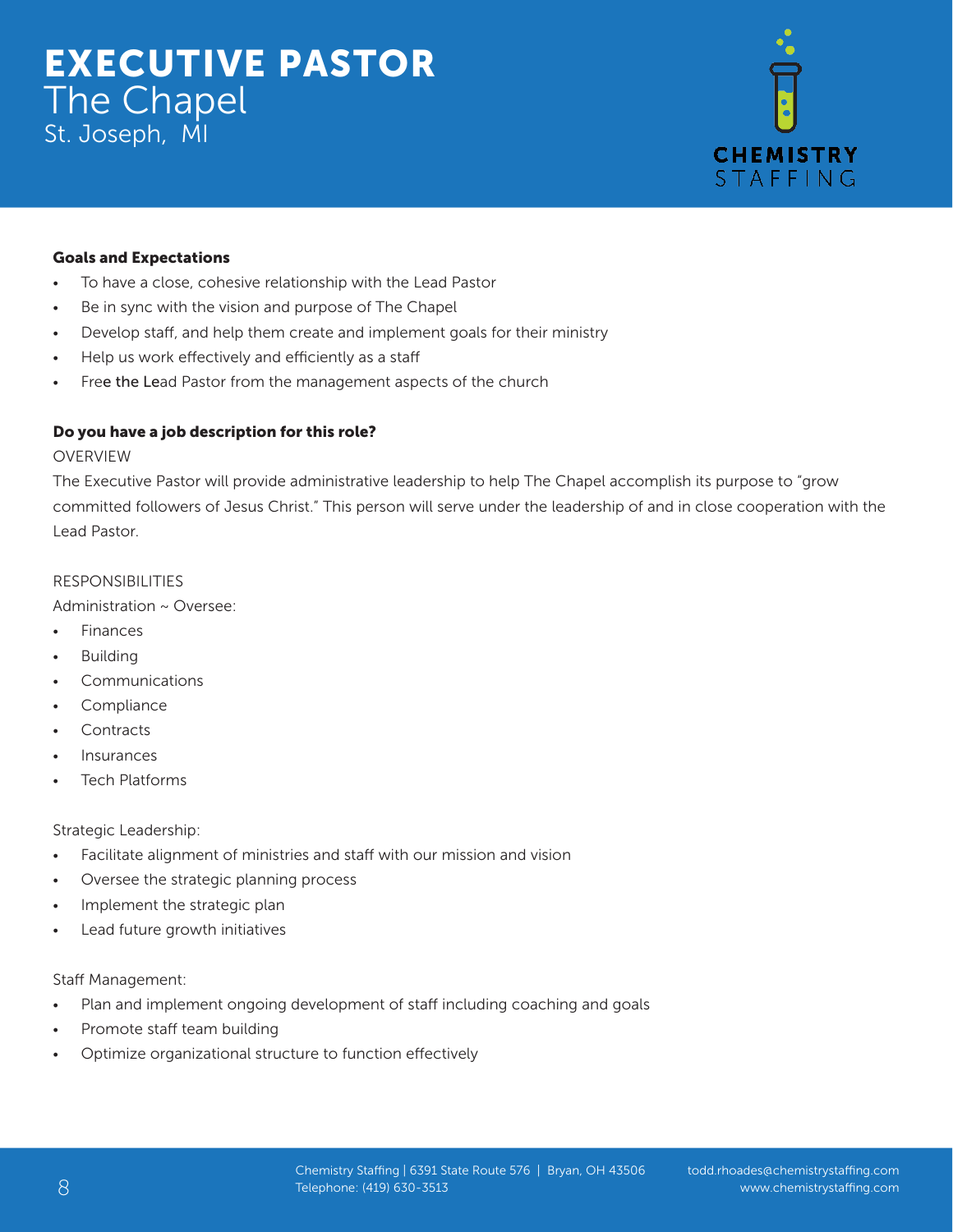

#### Goals and Expectations

- To have a close, cohesive relationship with the Lead Pastor
- Be in sync with the vision and purpose of The Chapel
- Develop staff, and help them create and implement goals for their ministry
- Help us work effectively and efficiently as a staff
- Free the Lead Pastor from the management aspects of the church

#### Do you have a job description for this role?

#### OVERVIEW

The Executive Pastor will provide administrative leadership to help The Chapel accomplish its purpose to "grow committed followers of Jesus Christ." This person will serve under the leadership of and in close cooperation with the Lead Pastor.

#### RESPONSIBILITIES

Administration ~ Oversee:

- Finances
- Building
- **Communications**
- Compliance
- **Contracts**
- **Insurances**
- **Tech Platforms**

#### Strategic Leadership:

- Facilitate alignment of ministries and staff with our mission and vision
- Oversee the strategic planning process
- Implement the strategic plan
- Lead future growth initiatives

#### Staff Management:

- Plan and implement ongoing development of staff including coaching and goals
- Promote staff team building
- Optimize organizational structure to function effectively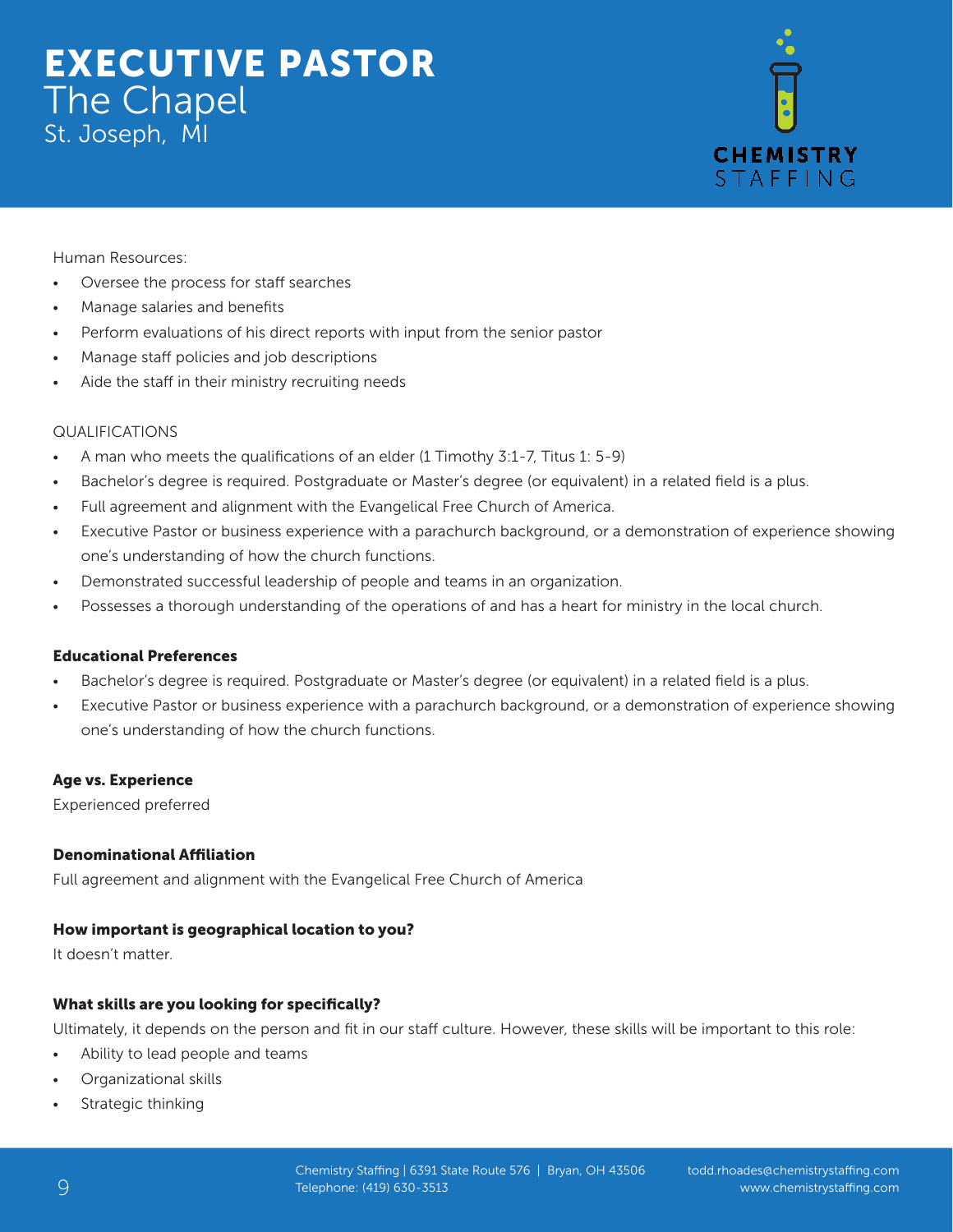

Human Resources:

- Oversee the process for staff searches
- Manage salaries and benefits
- Perform evaluations of his direct reports with input from the senior pastor
- Manage staff policies and job descriptions
- Aide the staff in their ministry recruiting needs

#### QUALIFICATIONS

- A man who meets the qualifications of an elder (1 Timothy 3:1-7, Titus 1: 5-9)
- Bachelor's degree is required. Postgraduate or Master's degree (or equivalent) in a related field is a plus.
- Full agreement and alignment with the Evangelical Free Church of America.
- Executive Pastor or business experience with a parachurch background, or a demonstration of experience showing one's understanding of how the church functions.
- Demonstrated successful leadership of people and teams in an organization.
- Possesses a thorough understanding of the operations of and has a heart for ministry in the local church.

#### Educational Preferences

- Bachelor's degree is required. Postgraduate or Master's degree (or equivalent) in a related field is a plus.
- Executive Pastor or business experience with a parachurch background, or a demonstration of experience showing one's understanding of how the church functions.

#### Age vs. Experience

Experienced preferred

#### Denominational Affiliation

Full agreement and alignment with the Evangelical Free Church of America

#### How important is geographical location to you?

It doesn't matter.

#### What skills are you looking for specifically?

Ultimately, it depends on the person and fit in our staff culture. However, these skills will be important to this role:

- Ability to lead people and teams
- Organizational skills
- Strategic thinking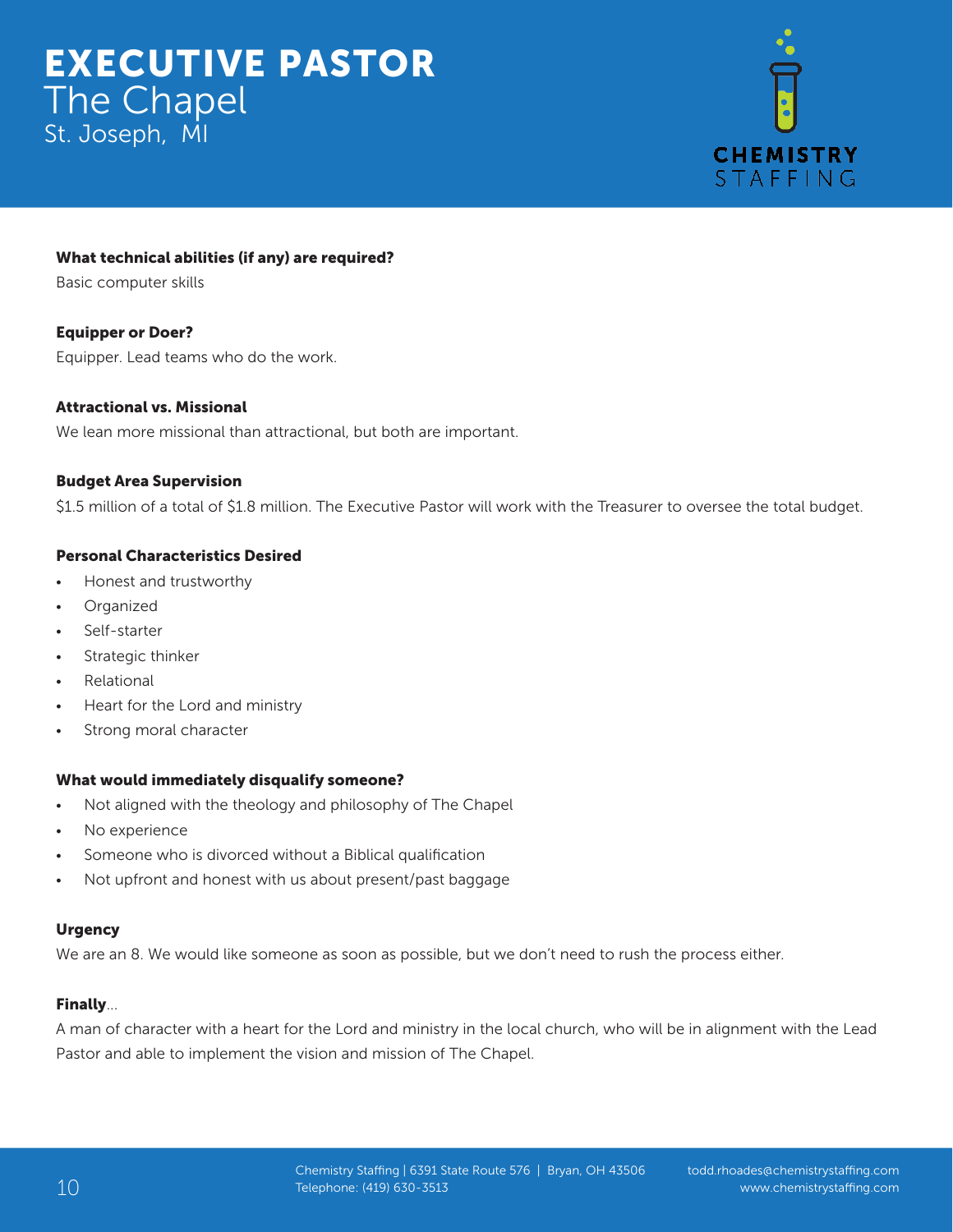

#### What technical abilities (if any) are required?

Basic computer skills

#### Equipper or Doer?

Equipper. Lead teams who do the work.

#### Attractional vs. Missional

We lean more missional than attractional, but both are important.

#### Budget Area Supervision

\$1.5 million of a total of \$1.8 million. The Executive Pastor will work with the Treasurer to oversee the total budget.

#### Personal Characteristics Desired

- Honest and trustworthy
- **Organized**
- Self-starter
- Strategic thinker
- **Relational**
- Heart for the Lord and ministry
- Strong moral character

#### What would immediately disqualify someone?

- Not aligned with the theology and philosophy of The Chapel
- No experience
- Someone who is divorced without a Biblical qualification
- Not upfront and honest with us about present/past baggage

#### **Urgency**

We are an 8. We would like someone as soon as possible, but we don't need to rush the process either.

#### Finally...

A man of character with a heart for the Lord and ministry in the local church, who will be in alignment with the Lead Pastor and able to implement the vision and mission of The Chapel.